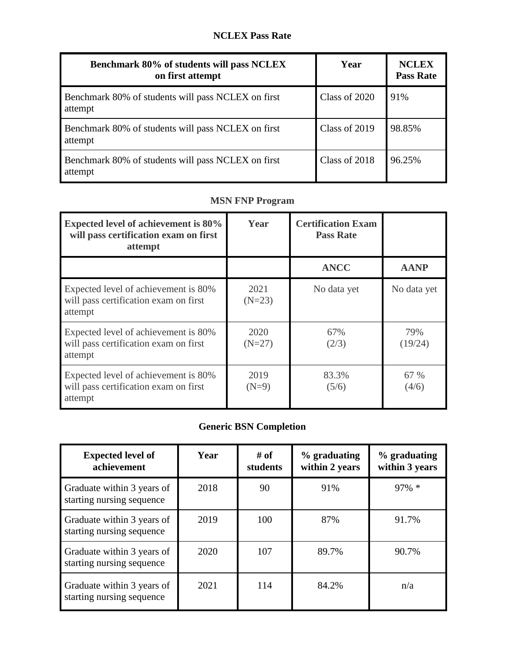| Benchmark 80% of students will pass NCLEX<br>on first attempt | Year          | <b>NCLEX</b><br><b>Pass Rate</b> |
|---------------------------------------------------------------|---------------|----------------------------------|
| Benchmark 80% of students will pass NCLEX on first<br>attempt | Class of 2020 | 91%                              |
| Benchmark 80% of students will pass NCLEX on first<br>attempt | Class of 2019 | 98.85%                           |
| Benchmark 80% of students will pass NCLEX on first<br>attempt | Class of 2018 | 96.25%                           |

## **MSN FNP Program**

| <b>Expected level of achievement is 80%</b><br>will pass certification exam on first<br>attempt | Year             | <b>Certification Exam</b><br><b>Pass Rate</b> |                |
|-------------------------------------------------------------------------------------------------|------------------|-----------------------------------------------|----------------|
|                                                                                                 |                  | <b>ANCC</b>                                   | <b>AANP</b>    |
| Expected level of achievement is 80%<br>will pass certification exam on first<br>attempt        | 2021<br>$(N=23)$ | No data yet                                   | No data yet    |
| Expected level of achievement is 80%<br>will pass certification exam on first<br>attempt        | 2020<br>$(N=27)$ | 67%<br>(2/3)                                  | 79%<br>(19/24) |
| Expected level of achievement is 80%<br>will pass certification exam on first<br>attempt        | 2019<br>$(N=9)$  | 83.3%<br>(5/6)                                | 67 %<br>(4/6)  |

## **Generic BSN Completion**

| <b>Expected level of</b><br>achievement                 | Year | # of<br>students | $%$ graduating<br>within 2 years | % graduating<br>within 3 years |
|---------------------------------------------------------|------|------------------|----------------------------------|--------------------------------|
| Graduate within 3 years of<br>starting nursing sequence | 2018 | 90               | 91%                              | $97\% *$                       |
| Graduate within 3 years of<br>starting nursing sequence | 2019 | 100              | 87%                              | 91.7%                          |
| Graduate within 3 years of<br>starting nursing sequence | 2020 | 107              | 89.7%                            | 90.7%                          |
| Graduate within 3 years of<br>starting nursing sequence | 2021 | 114              | 84.2%                            | n/a                            |